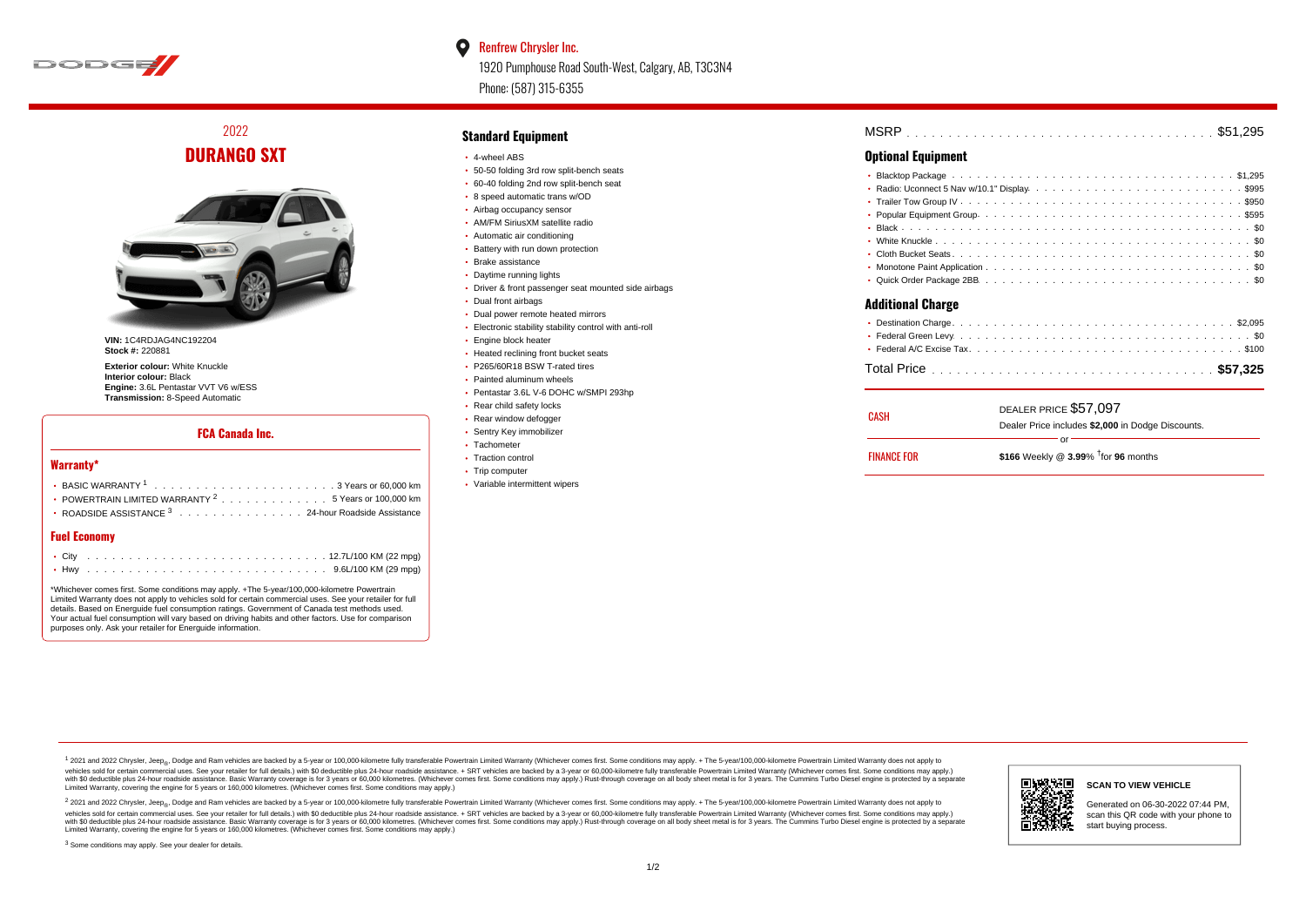

#### $\bullet$ Renfrew Chrysler Inc.

1920 Pumphouse Road South-West, Calgary, AB, T3C3N4 Phone: (587) 315-6355

2022 **DURANGO SXT**



**VIN:** 1C4RDJAG4NC192204 **Stock #:** 220881

**Exterior colour:** White Knuckle **Interior colour:** Black **Engine:** 3.6L Pentastar VVT V6 w/ESS **Transmission:** 8-Speed Automatic

#### **FCA Canada Inc.**

#### **Warranty\***

| • POWERTRAIN LIMITED WARRANTY $2 \ldots \ldots \ldots \ldots \ldots 5$ Years or 100,000 km |
|--------------------------------------------------------------------------------------------|
| • ROADSIDE ASSISTANCE $^3$ , , , , , , , , , , , , , , , , 24-hour Roadside Assistance     |
|                                                                                            |

#### **Fuel Economy**

\*Whichever comes first. Some conditions may apply. +The 5-year/100,000-kilometre Powertrain Limited Warranty does not apply to vehicles sold for certain commercial uses. See your retailer for full details. Based on Energuide fuel consumption ratings. Government of Canada test methods used. Your actual fuel consumption will vary based on driving habits and other factors. Use for comparison purposes only. Ask your retailer for Energuide information.

#### **Standard Equipment**

- 4-wheel ABS
- 50-50 folding 3rd row split-bench seats
- 60-40 folding 2nd row split-bench seat
- 8 speed automatic trans w/OD
- Airbag occupancy sensor AM/FM SiriusXM satellite radio
- Automatic air conditioning
- Battery with run down protection
- Brake assistance
- Daytime running lights
- Driver & front passenger seat mounted side airbags
- Dual front airbags
- Dual power remote heated mirrors
- Electronic stability stability control with anti-roll
- **Engine block heater**
- Heated reclining front bucket seats
- P265/60R18 BSW T-rated tires
- Painted aluminum wheels
- Pentastar 3.6L V-6 DOHC w/SMPI 293hp
- Rear child safety locks
- Rear window defogger
- Sentry Key immobilizer Tachometer
- Traction control
- Trip computer
- Variable intermittent wipers

. . . . . . . . . . . . . . . . . . . . . . . . . . . . . . . . . . . . . . . . . . . . . . MSRP \$51,295

### **Optional Equipment**

| <b>Additional Charge</b> |  |  |  |  |  |  |  |  |  |  |  |   |  |
|--------------------------|--|--|--|--|--|--|--|--|--|--|--|---|--|
|                          |  |  |  |  |  |  |  |  |  |  |  | . |  |

| CASH               | DEALER PRICE \$57,097                              |
|--------------------|----------------------------------------------------|
|                    | Dealer Price includes \$2,000 in Dodge Discounts.  |
|                    | Ωr                                                 |
| <b>FINANCE FOR</b> | \$166 Weekly @ $3.99\%$ <sup>†</sup> for 96 months |

1 2021 and 2022 Chrysler, Jeep<sub>en</sub> Dodge and Ram vehicles are backed by a 5-year or 100,000-kilometre fully transferable Powertrain Limited Warranty (Whichever comes first. Some conditions may apply. + The 5-year/100,000-k vehicles sold for certain commercial uses. See your retailer for full details.) with \$0 deductible plus 24-hour roadside assistance. + SRT vehicles are backed by a 3-year or 60,000-kilometre fully transferable Powertrain L versus and contract the mean of the contract of the contract with a contract with a contract the contract of the search of the contract and a control of the contract and contract and control of the search of the search of Limited Warranty, covering the engine for 5 years or 160,000 kilometres. (Whichever comes first. Some conditions may apply.)

<sup>2</sup> 2021 and 2022 Chrysler, Jeep<sub>®</sub>, Dodge and Ram vehicles are backed by a 5-year or 100,000-kilometre fully transferable Powertrain Limited Warranty (Whichever comes first. Some conditions may apply. + The 5-year/100,000 vehicles sold for certain commercial uses. See your retailer for full details.) with SO deductible plus 24-hour roadside assistance. + SRT vehicles are backed by a 3-year or 60.000-kilometre fully transferable Powertrain L with S0 deductible plus 24-hour roadside assistance. Basic Warranty coverage is for 3 years or 60,000 kilometres. (Whichever comes first. Some conditions may apply.) Rust-through coverage on all body sheet metal is for 3 y



**SCAN TO VIEW VEHICLE**

Generated on 06-30-2022 07:44 PM, scan this QR code with your phone to start buying process.

<sup>3</sup> Some conditions may apply. See your dealer for details.